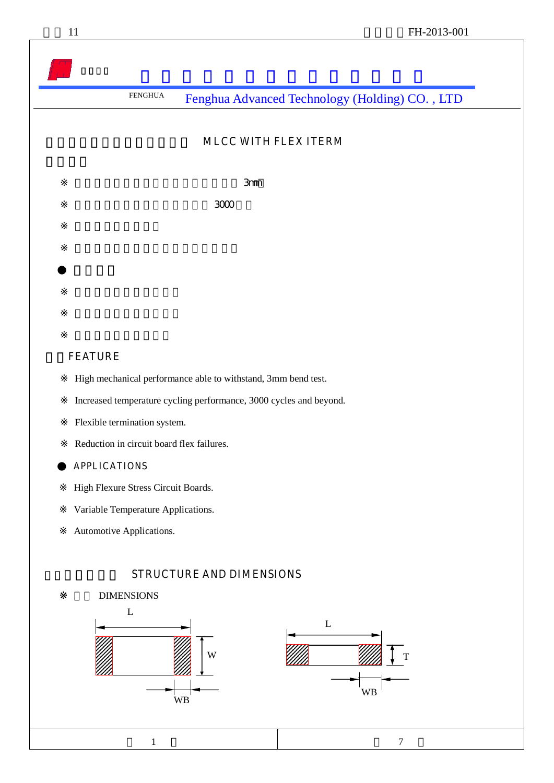### **MLCC WITH FLEX ITERM**

 $\mathcal{S}$ mm

 $\sim$  3000 $\sim$ 

### 一、**FEATURE**

High mechanical performance able to withstand, 3mm bend test.

Increased temperature cycling performance, 3000 cycles and beyond.

Flexible termination system.

Reduction in circuit board flex failures.

### ● **APPLICATIONS**

High Flexure Stress Circuit Boards.

Variable Temperature Applications.

Automotive Applications.

### **STRUCTURE AND DIMENSIONS**



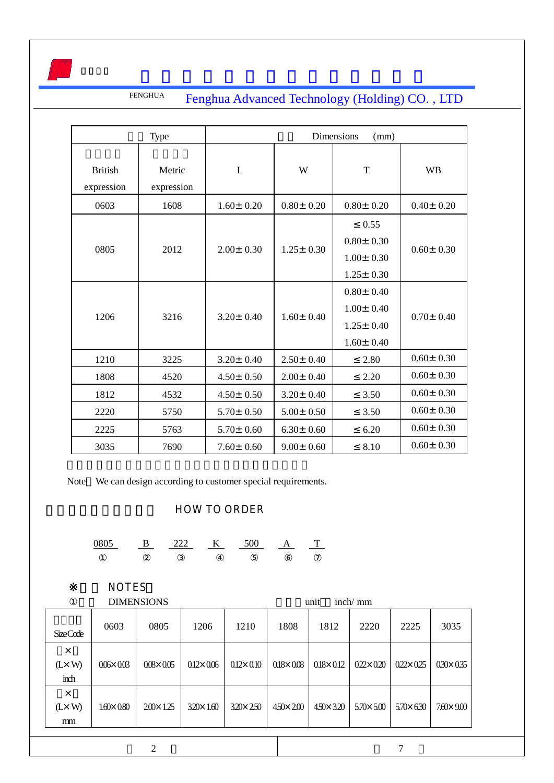

|                              | Type<br>Dimensions<br>(mm) |                 |                 |                                                                          |                 |
|------------------------------|----------------------------|-----------------|-----------------|--------------------------------------------------------------------------|-----------------|
| <b>British</b><br>expression | Metric<br>expression       | L               | W               | $\mathbf T$                                                              | <b>WB</b>       |
| 0603                         | 1608                       | $1.60 \pm 0.20$ | $0.80 \pm 0.20$ | $0.80 \pm 0.20$                                                          | $0.40 \pm 0.20$ |
| 0805                         | 2012                       | $2.00 \pm 0.30$ | $1.25 \pm 0.30$ | 0.55<br>$0.80 \pm 0.30$<br>$1.00 \pm 0.30$<br>$1.25 \pm 0.30$            | $0.60 \pm 0.30$ |
| 1206                         | 3216                       | $3.20 \pm 0.40$ | $1.60 \pm 0.40$ | $0.80 \pm 0.40$<br>$1.00 \pm 0.40$<br>$1.25 \pm 0.40$<br>$1.60 \pm 0.40$ | $0.70 \pm 0.40$ |
| 1210                         | 3225                       | $3.20 \pm 0.40$ | $2.50 \pm 0.40$ | 2.80                                                                     | $0.60 \pm 0.30$ |
| 1808                         | 4520                       | $4.50 \pm 0.50$ | $2.00 \pm 0.40$ | 2.20                                                                     | $0.60 \pm 0.30$ |
| 1812                         | 4532                       | $4.50 \pm 0.50$ | $3.20 \pm 0.40$ | 3.50                                                                     | $0.60 \pm 0.30$ |
| 2220                         | 5750                       | $5.70 \pm 0.50$ | $5.00 \pm 0.50$ | 3.50                                                                     | $0.60 \pm 0.30$ |
| 2225                         | 5763                       | $5.70 \pm 0.60$ | $6.30 \pm 0.60$ | 6.20                                                                     | $0.60 \pm 0.30$ |
| 3035                         | 7690                       | $7.60 \pm 0.60$ | $9.00 \pm 0.60$ | 8.10                                                                     | $0.60 \pm 0.30$ |

Note We can design according to customer special requirements.

### **HOW TO ORDER**

0805 B 222 K 500 A T

## ※说明 **NOTES**:

|                                    |                    | <b>DIMENSIONS</b>  |                    |                    |                    | unit               | inch/mm            |                    |                    |
|------------------------------------|--------------------|--------------------|--------------------|--------------------|--------------------|--------------------|--------------------|--------------------|--------------------|
| <b>SizeCode</b>                    | 0603               | 0805               | 1206               | 1210               | 1808               | 1812               | 2220               | 2225               | 3035               |
| $\times$<br>$(L \times W)$<br>inch | $0.06 \times 0.03$ | $0.08 \times 0.05$ | $0.12 \times 0.06$ | $0.12 \times 0.10$ | $0.18 \times 0.08$ | $0.18 \times 0.12$ | $0.22 \times 0.20$ | $0.22 \times 0.25$ | $0.30 \times 0.35$ |
| $\times$<br>$(L \times W)$<br>mm   | $1.60 \times 0.80$ | $200 \times 125$   | $320 \times 1.60$  | $320 \times 250$   | $450 \times 200$   | $450 \times 320$   | $5.70 \times 5.00$ | $5.70 \times 6.30$ | $7.60 \times 9.00$ |
|                                    |                    | 2                  |                    |                    |                    |                    |                    | ⇁                  |                    |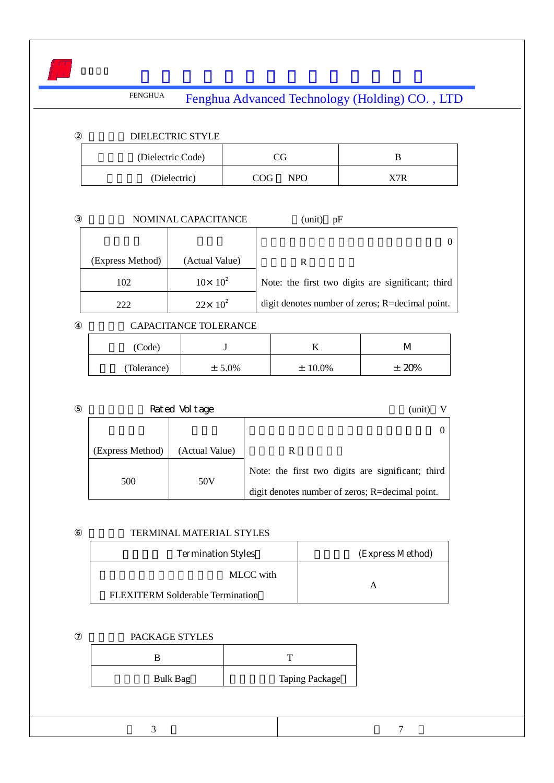

|                  | NOMINAL CAPACITANCE | (unit)<br>pF                                      |
|------------------|---------------------|---------------------------------------------------|
|                  |                     |                                                   |
| (Express Method) | (Actual Value)      | R                                                 |
| 102              | $10 \times 10^{2}$  | Note: the first two digits are significant; third |
| 222              | $22 \times 10^2$    | digit denotes number of zeros; R=decimal point.   |

CAPACITANCE TOLERANCE

| (Code)      |           | .,         | ιv  |
|-------------|-----------|------------|-----|
| (Tolerance) | $± 5.0\%$ | $± 10.0\%$ | 20% |

#### Rated Voltage  $(unit)$  V

| (Express Method) | (Actual Value) |                                                   |
|------------------|----------------|---------------------------------------------------|
| 500              | 50V            | Note: the first two digits are significant; third |
|                  |                | digit denotes number of zeros; R=decimal point.   |

### TERMINAL MATERIAL STYLES

| <b>Termination Styles</b>        | (Express Method) |
|----------------------------------|------------------|
| MLCC with                        |                  |
| FLEXITERM Solderable Termination |                  |

### PACKAGE STYLES

| Bulk Bag | <b>Taping Package</b> |
|----------|-----------------------|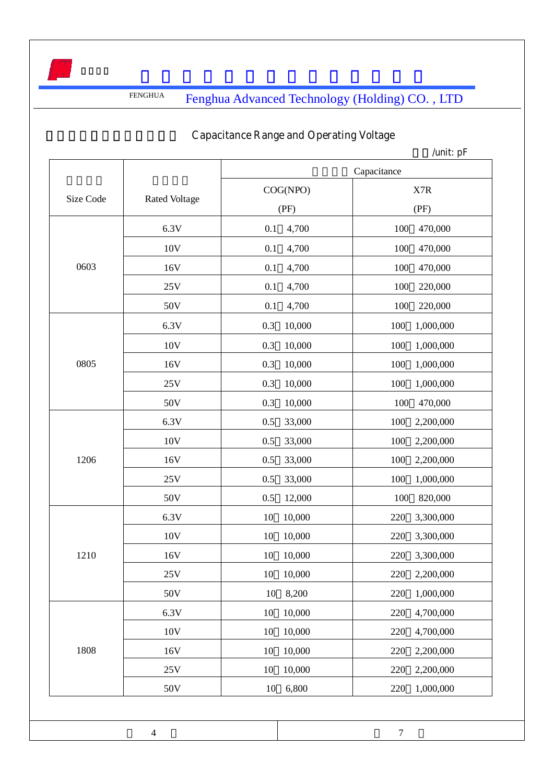

# **Capacitance Range and Operating Voltage**

|           |                      | Capacitance      |                  |  |
|-----------|----------------------|------------------|------------------|--|
| Size Code | <b>Rated Voltage</b> | COG(NPO)<br>(PF) | X7R<br>(PF)      |  |
|           | 6.3V                 | 0.1<br>4,700     | 100<br>470,000   |  |
|           | 10V                  | 4,700<br>0.1     | 470,000<br>100   |  |
| 0603      | 16V                  | 4,700<br>0.1     | 100<br>470,000   |  |
|           | 25V                  | 0.1<br>4,700     | 100<br>220,000   |  |
|           | 50V                  | 0.1<br>4,700     | 100<br>220,000   |  |
|           | 6.3V                 | 10,000<br>0.3    | 100<br>1,000,000 |  |
|           | 10V                  | 10,000<br>0.3    | 100<br>1,000,000 |  |
| 0805      | 16V                  | 0.3<br>10,000    | 100<br>1,000,000 |  |
|           | 25V                  | 10,000<br>0.3    | 100<br>1,000,000 |  |
|           | 50V                  | 0.3<br>10,000    | 100<br>470,000   |  |
|           | 6.3V                 | 0.5<br>33,000    | 100<br>2,200,000 |  |
|           | 10V                  | 33,000<br>0.5    | 100<br>2,200,000 |  |
| 1206      | 16V                  | 33,000<br>0.5    | 100<br>2,200,000 |  |
|           | 25V                  | 33,000<br>0.5    | 100<br>1,000,000 |  |
|           | 50V                  | 0.5<br>12,000    | 100<br>820,000   |  |
|           | 6.3V                 | 10,000<br>10     | 220<br>3,300,000 |  |
|           | $10\mathrm{V}$       | 10,000<br>10     | 220<br>3,300,000 |  |
| 1210      | 16V                  | 10<br>10,000     | 220<br>3,300,000 |  |
|           | 25V                  | 10,000<br>10     | 2,200,000<br>220 |  |
|           | 50V                  | 8,200<br>10      | 1,000,000<br>220 |  |
|           | 6.3V                 | 10,000<br>10     | 220<br>4,700,000 |  |
|           | 10V                  | 10,000<br>10     | 220<br>4,700,000 |  |
| 1808      | 16V                  | 10,000<br>10     | 2,200,000<br>220 |  |
|           | 25V                  | 10<br>10,000     | 2,200,000<br>220 |  |
|           | 50V                  | 6,800<br>10      | 220<br>1,000,000 |  |
|           |                      |                  |                  |  |
|           | $\overline{4}$       |                  | $\boldsymbol{7}$ |  |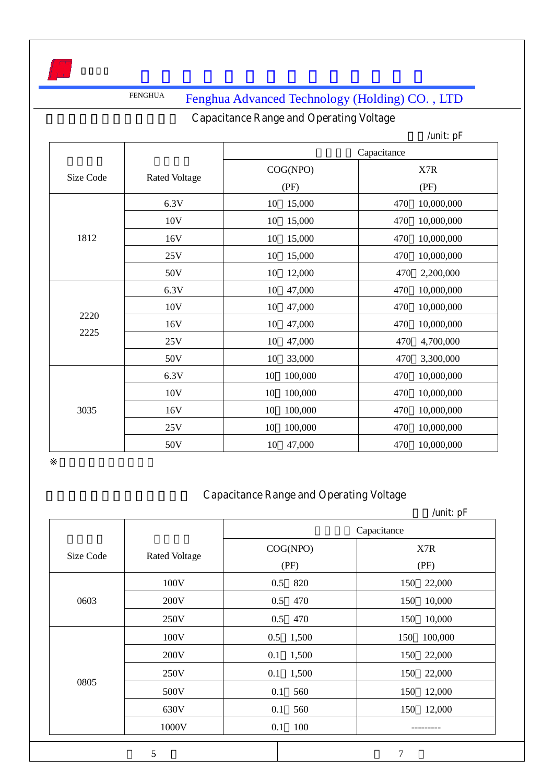# **Capacitance Range and Operating Voltage**

|           |                      |               | /unit: $pF$       |  |
|-----------|----------------------|---------------|-------------------|--|
|           |                      | Capacitance   |                   |  |
| Size Code |                      | COG(NPO)      | X7R               |  |
|           | <b>Rated Voltage</b> | (PF)          | (PF)              |  |
|           | 6.3V                 | 10<br>15,000  | 10,000,000<br>470 |  |
|           | 10V                  | 15,000<br>10  | 10,000,000<br>470 |  |
| 1812      | 16V                  | 10<br>15,000  | 10,000,000<br>470 |  |
|           | 25V                  | 15,000<br>10  | 470<br>10,000,000 |  |
|           | 50V                  | 10<br>12,000  | 470<br>2,200,000  |  |
|           | 6.3V                 | 10<br>47,000  | 10,000,000<br>470 |  |
|           | 10V                  | 10<br>47,000  | 10,000,000<br>470 |  |
| 2220      | 16V                  | 10<br>47,000  | 10,000,000<br>470 |  |
| 2225      | 25V                  | 47,000<br>10  | 470<br>4,700,000  |  |
|           | 50V                  | 10<br>33,000  | 470<br>3,300,000  |  |
|           | 6.3V                 | 10<br>100,000 | 470<br>10,000,000 |  |
|           | 10V                  | 10<br>100,000 | 10,000,000<br>470 |  |
| 3035      | 16V                  | 10<br>100,000 | 10,000,000<br>470 |  |
|           | 25V                  | 10<br>100,000 | 470<br>10,000,000 |  |
|           | 50V                  | 47,000<br>10  | 10,000,000<br>470 |  |

### **Capacitance Range and Operating Voltage**

|           |                      | Capacitance      |                |
|-----------|----------------------|------------------|----------------|
| Size Code | <b>Rated Voltage</b> | COG(NPO)<br>(PF) | X7R<br>(PF)    |
|           | 100V                 | 820<br>0.5       | 150<br>22,000  |
| 0603      | 200V                 | 0.5<br>470       | 10,000<br>150  |
|           | 250V                 | 0.5<br>470       | 150<br>10,000  |
|           | 100V                 | 0.5<br>1,500     | 100,000<br>150 |
|           | 200V                 | 1,500<br>0.1     | 150<br>22,000  |
| 0805      | 250V                 | 1,500<br>0.1     | 150<br>22,000  |
|           | 500V                 | 0.1<br>560       | 150<br>12,000  |
|           | 630V                 | 0.1<br>560       | 12,000<br>150  |
|           | 1000V                | 100<br>0.1       |                |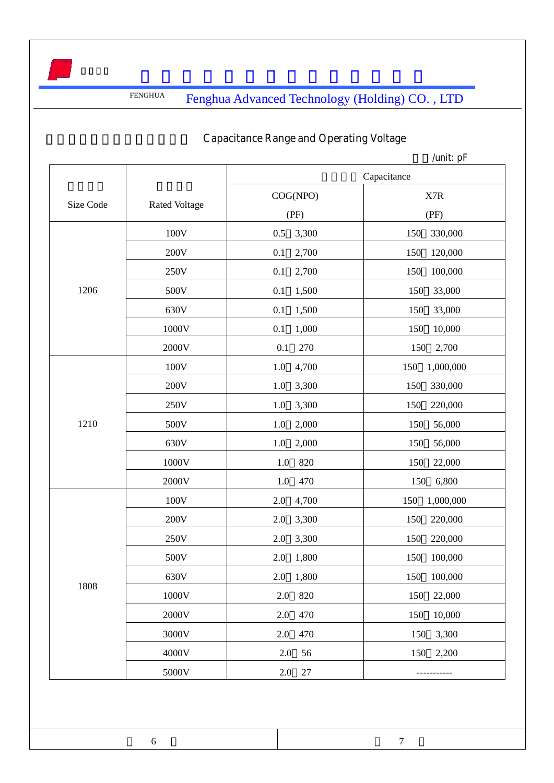

## **Capacitance Range and Operating Voltage**

|           |                      | COG(NPO)     | X7R              |
|-----------|----------------------|--------------|------------------|
| Size Code | <b>Rated Voltage</b> |              |                  |
|           |                      | (PF)         | (PF)             |
|           | 100V                 | 0.5<br>3,300 | 330,000<br>150   |
|           | 200V                 | 2,700<br>0.1 | 150<br>120,000   |
|           | 250V                 | 2,700<br>0.1 | 150<br>100,000   |
| 1206      | 500V                 | 1,500<br>0.1 | 150<br>33,000    |
|           | 630V                 | 1,500<br>0.1 | 150<br>33,000    |
|           | 1000V                | 1,000<br>0.1 | 150<br>10,000    |
|           | 2000V                | 0.1<br>270   | 150<br>2,700     |
|           | 100V                 | 4,700<br>1.0 | 150<br>1,000,000 |
|           | 200V                 | 3,300<br>1.0 | 150<br>330,000   |
|           | 250V                 | 1.0<br>3,300 | 150<br>220,000   |
| 1210      | 500V                 | 2,000<br>1.0 | 150<br>56,000    |
|           | 630V                 | 1.0<br>2,000 | 150<br>56,000    |
|           | 1000V                | 820<br>1.0   | 150<br>22,000    |
|           | 2000V                | 1.0<br>470   | 150<br>6,800     |
|           | 100V                 | 2.0<br>4,700 | 150<br>1,000,000 |
|           | 200V                 | 3,300<br>2.0 | 150<br>220,000   |
|           | 250V                 | 2.0<br>3,300 | 150<br>220,000   |
|           | 500V                 | 1,800<br>2.0 | 100,000<br>150   |
|           | 630V                 | 1,800<br>2.0 | 150<br>100,000   |
| 1808      | $1000\mathrm{V}$     | 2.0<br>820   | 150<br>22,000    |
|           | 2000V                | 2.0<br>470   | 150<br>10,000    |
|           | 3000V                | 470<br>2.0   | 3,300<br>150     |
|           | 4000V                | 2.0<br>56    | 150<br>2,200     |
|           | 5000V                | 2.0<br>27    |                  |
|           |                      |              |                  |

6 7